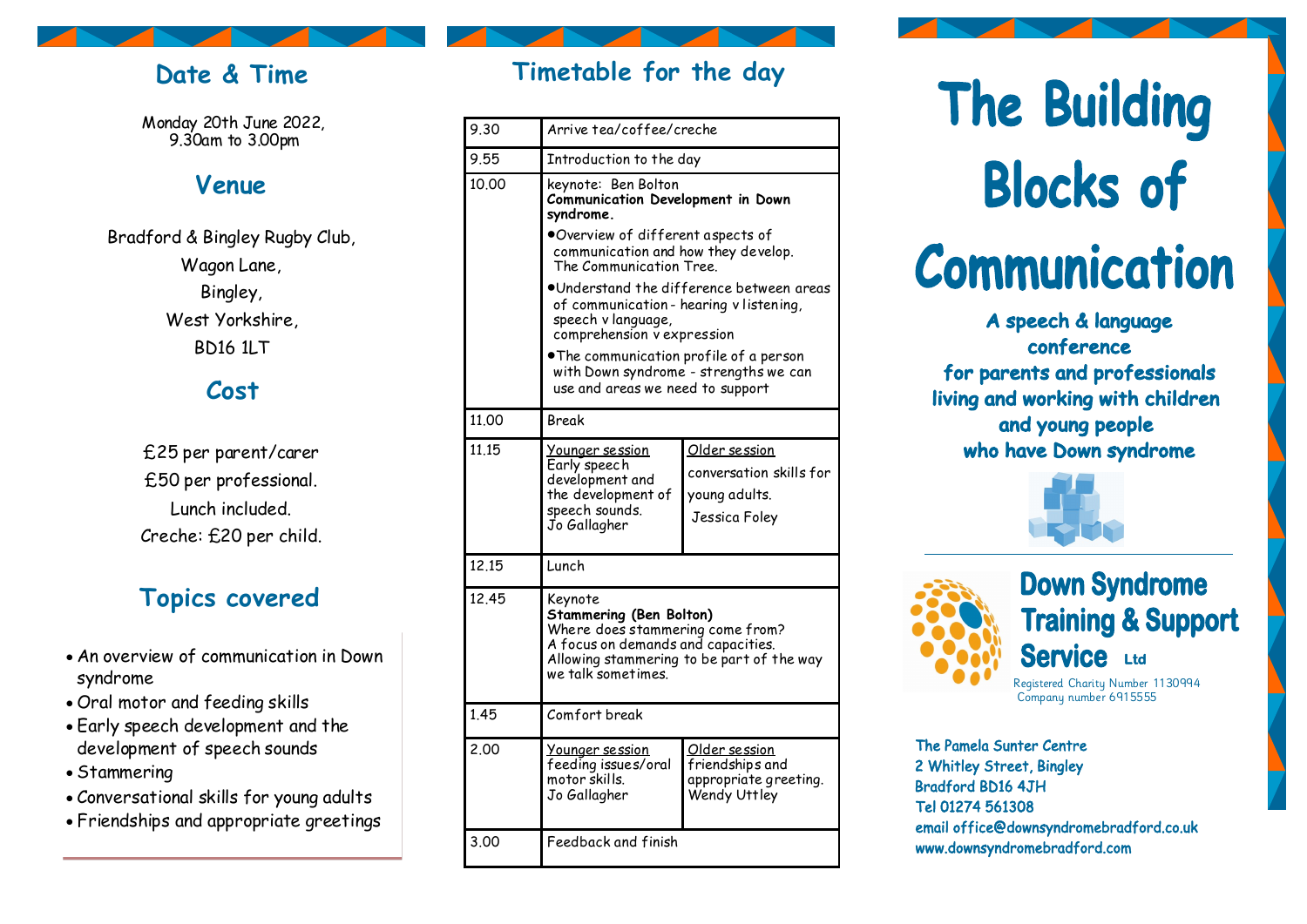## **Date & Time**

Monday 20th June 2022, 9.30am to 3.00pm

## **Venue**

Bradford & Bingley Rugby Club, Wagon Lane, Bingley, West Yorkshire, BD16 1LT

## **Cost**

£25 per parent/carer £50 per professional. Lunch included. Creche: £20 per child.

# **Topics covered**

- An overview of communication in Down syndrome
- Oral motor and feeding skills
- Early speech development and the development of speech sounds
- Stammering
- Conversational skills for young adults
- Friendships and appropriate greetings

| Timetable for the day |  |  |  |
|-----------------------|--|--|--|
|                       |  |  |  |

| 9.30  | Arrive tea/coffee/creche                                                                                                                                                                                                                                    |                                                                            |  |  |  |  |
|-------|-------------------------------------------------------------------------------------------------------------------------------------------------------------------------------------------------------------------------------------------------------------|----------------------------------------------------------------------------|--|--|--|--|
| 9.55  | Introduction to the day                                                                                                                                                                                                                                     |                                                                            |  |  |  |  |
| 10.00 | keynote: Ben Bolton<br>Communication Development in Down<br>syndrome.                                                                                                                                                                                       |                                                                            |  |  |  |  |
|       | .Overview of different aspects of<br>communication and how they develop.<br>The Communication Tree.                                                                                                                                                         |                                                                            |  |  |  |  |
|       | •Understand the difference between areas<br>of communication-hearing v listening,<br>speech v language,<br>comprehension vexpression<br>.The communication profile of a person<br>with Down syndrome - strengths we can<br>use and areas we need to support |                                                                            |  |  |  |  |
|       |                                                                                                                                                                                                                                                             |                                                                            |  |  |  |  |
| 11.00 | <b>Break</b>                                                                                                                                                                                                                                                |                                                                            |  |  |  |  |
| 11.15 | Younger session<br>Early speech<br>development and<br>the development of<br>speech sounds.<br>Jo Gallagher                                                                                                                                                  | Older session<br>conversation skills for<br>young adults.<br>Jessica Foley |  |  |  |  |
| 12.15 | Lunch                                                                                                                                                                                                                                                       |                                                                            |  |  |  |  |
| 12.45 | Keynote<br><b>Stammering (Ben Bolton)</b><br>Where does stammering come from?<br>A focus on demands and capacities.<br>Allowing stammering to be part of the way<br>we talk sometimes.                                                                      |                                                                            |  |  |  |  |
| 1.45  | Comfort break                                                                                                                                                                                                                                               |                                                                            |  |  |  |  |
| 2.00  | Younger session<br>feeding issues/oral<br>motor skills.<br>Jo Gallagher                                                                                                                                                                                     | Older session<br>friendships and<br>appropriate greeting.<br>Wendy Uttley  |  |  |  |  |
| 3.00  | Feedback and finish                                                                                                                                                                                                                                         |                                                                            |  |  |  |  |

The Building **Blocks of Communication** 

A speech & language conference for parents and professionals living and working with children and young people who have Down syndrome





# **Down Syndrome Training & Support Service** Ltd

Registered Charity Number 1130994 Company number 6915555

The Pamela Sunter Centre 2 Whitley Street, Bingley **Bradford BD16 4JH** Tel 01274 561308 email office@downsyndromebradford.co.uk www.downsyndromebradford.com